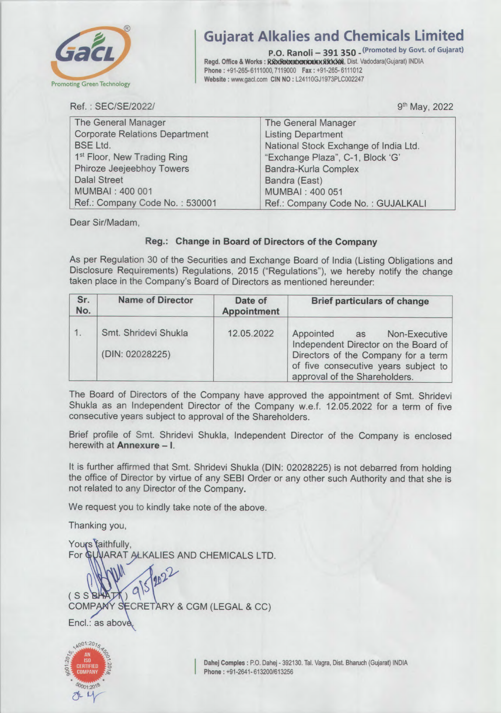

## **Ikalies and Chemicals Limited**<br>P.O. Ranoli – 391 350 – <sup>(Promoted by Govt. of Gujarat)</sup>

Gujarat Alkalies and Chemicals Limited<br> **P.O. Ranoli – 391 350** - <sup>(Promoted by Govt. of Gujarat)<br>
Regd. Office & Works : REXRENDED DON: NO : L24110GJ1973PLC002247<br>
Website : www.gacl.com CIN NO : L24110GJ1973PLC002247</sup> **P.O. Ranoll - 391 350 - Company Server**<br>Regd. Office & Works : **RickRetocoicence back ASK306**, Dist. Vadodara(Gujarat) INDIA<br>Phone : 191 265 6111000 7119000 - Fax : 191 265 6111012 Phone: +91・265-6111000,7119000 Fax: +91-265- 6111012 **Phone :** +91-265-6111000,7119000 **Fax :** +91-265-6111012 Website : www.gacl.com CIN NO : L24110GJ1973PLC002247

Ref. : SEC/SE/2022/ 9<sup>th</sup> May, 2022

| The General Manager                     | The General Manager                   |  |
|-----------------------------------------|---------------------------------------|--|
| <b>Corporate Relations Department</b>   | <b>Listing Department</b>             |  |
| <b>BSE Ltd.</b>                         | National Stock Exchange of India Ltd. |  |
| 1 <sup>st</sup> Floor, New Trading Ring | "Exchange Plaza", C-1, Block 'G'      |  |
| Phiroze Jeejeebhoy Towers               | Bandra-Kurla Complex                  |  |
| <b>Dalal Street</b>                     | Bandra (East)                         |  |
| MUMBAI: 400 001                         | <b>MUMBAI: 400 051</b>                |  |
| Ref.: Company Code No.: 530001          | Ref.: Company Code No.: GUJALKALI     |  |

Dear Sir/Madam,

## Reg.: Change in Board of Directors of the Company

As per Regulation 30 of the Securities and Exchange Board of India (Listing Obligations and Disclosure Requirements) Regulations, 2015 ("Regulations"), we hereby notify the change<br>taken place in the Company's Board of Directors as mentioned hereunder: taken place in the Company's Board of Directors as mentioned hereunder

| Sr.<br>No. | <b>Name of Director</b>                 | Date of<br><b>Appointment</b> | <b>Brief particulars of change</b>                                                                                                                                                    |
|------------|-----------------------------------------|-------------------------------|---------------------------------------------------------------------------------------------------------------------------------------------------------------------------------------|
|            | Smt. Shridevi Shukla<br>(DIN: 02028225) | 12.05.2022                    | Appointed as<br>Non-Executive<br>Independent Director on the Board of<br>Directors of the Company for a term<br>of five consecutive years subject to<br>approval of the Shareholders. |

The Board of Directors of the Company have approved the appointment of Smt. Shridevi Shukla as an Independent Director of the Company w.e.f. 12.05.2022 for a term of five<br>consecutive years subject to approval of the Shareholders. consecutive years subject to approval of the Shareholders

Brief profile of Smt. Shridevi Shukla, Independent Director of the Company is enclosed herewith at **Annexure – I**.

It is further affirmed that Smt. Shridevi Shukla (DIN: 02028225) is not debarred from holding the office of Director by virtue of any SEBI Order or any other such Authority and that she is not related to any Director of the Company.

We request you to kindly take note of the above.

Thanking you,

Yours faithfully, Thanking you,<br>Yours<sup>'</sup>faithfully,<br>For @UNARAT ALKALIES AND CHEMICALS LTD.  $2<sup>2</sup>$  $\boldsymbol{\nu}$  $2^{\nu}$  $(s$   $s$   $\mathbb{R}$ COMPANY SECRETARY & CGM (LEGAL & CC)<br>Encl.: as above



Dahej Comples: P.O. Dahej - 392130. Tal. Vagra, Dist. Bharuch (Gujarat) INDIA Phone: +91-2641- 613200/613256 **RETARY & CGM (LEGAL & CC)**<br> **Dahej Comples : P.O. Dahej - 392130. Tal. Vagra, Dist. Bharuch (Gujarat) INDIA**<br>
Phone : +91-2641- 613200/613256